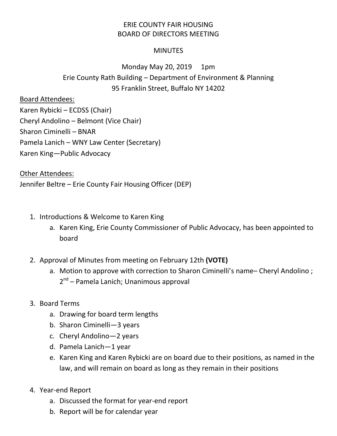## ERIE COUNTY FAIR HOUSING BOARD OF DIRECTORS MEETING

## **MINUTES**

## Monday May 20, 2019 1pm Erie County Rath Building – Department of Environment & Planning 95 Franklin Street, Buffalo NY 14202

## Board Attendees:

Karen Rybicki – ECDSS (Chair) Cheryl Andolino – Belmont (Vice Chair) Sharon Ciminelli – BNAR Pamela Lanich – WNY Law Center (Secretary) Karen King—Public Advocacy

Other Attendees:

Jennifer Beltre – Erie County Fair Housing Officer (DEP)

- 1. Introductions & Welcome to Karen King
	- a. Karen King, Erie County Commissioner of Public Advocacy, has been appointed to board
- 2. Approval of Minutes from meeting on February 12th **(VOTE)**
	- a. Motion to approve with correction to Sharon Ciminelli's name– Cheryl Andolino ; 2<sup>nd</sup> – Pamela Lanich; Unanimous approval
- 3. Board Terms
	- a. Drawing for board term lengths
	- b. Sharon Ciminelli—3 years
	- c. Cheryl Andolino—2 years
	- d. Pamela Lanich—1 year
	- e. Karen King and Karen Rybicki are on board due to their positions, as named in the law, and will remain on board as long as they remain in their positions
- 4. Year-end Report
	- a. Discussed the format for year-end report
	- b. Report will be for calendar year